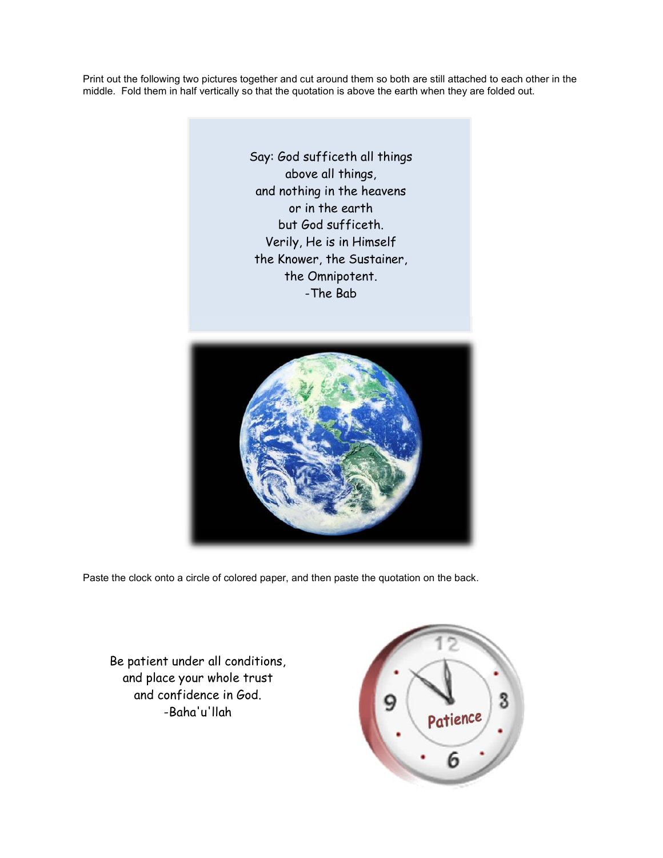Print out the following two pictures together and cut around them so both are still attached to each other in the middle. Fold them in half vertically so that the quotation is above the earth when they are folded out.

> Say: God sufficeth all things above all things, and nothing in the heavens or in the earth but God sufficeth. Verily, He is in Himself the Knower, the Sustainer, the Omnipotent. -The Bab



Paste the clock onto a circle of colored paper, and then paste the quotation on the back.

Be patient under all conditions, and place your whole trust and confidence in God. -Baha'u'llah

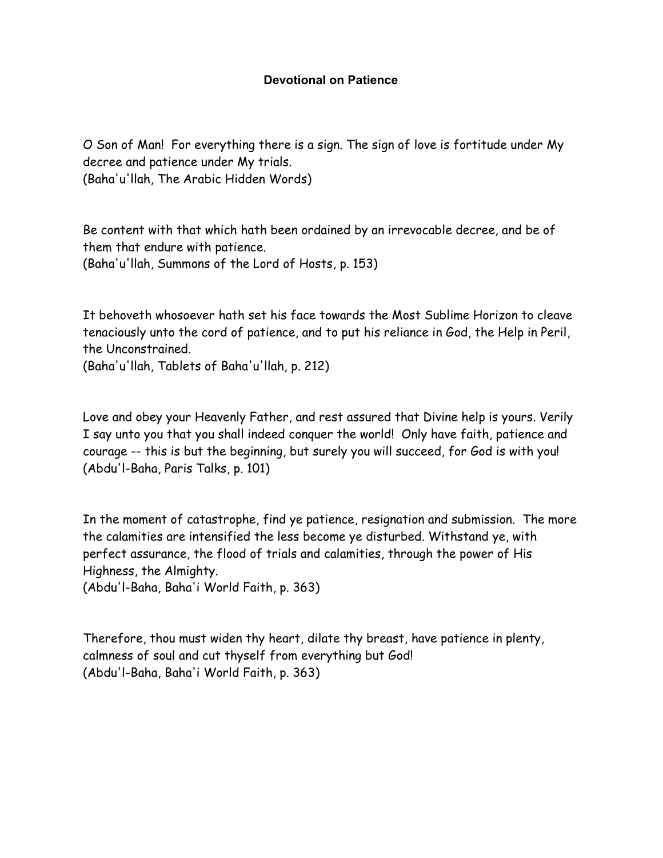## **Devotional on Patience**

O Son of Man! For everything there is a sign. The sign of love is fortitude under My decree and patience under My trials. (Baha'u'llah, The Arabic Hidden Words)

Be content with that which hath been ordained by an irrevocable decree, and be of them that endure with patience. (Baha'u'llah, Summons of the Lord of Hosts, p. 153)

It behoveth whosoever hath set his face towards the Most Sublime Horizon to cleave tenaciously unto the cord of patience, and to put his reliance in God, the Help in Peril, the Unconstrained.

(Baha'u'llah, Tablets of Baha'u'llah, p. 212)

Love and obey your Heavenly Father, and rest assured that Divine help is yours. Verily I say unto you that you shall indeed conquer the world! Only have faith, patience and courage -- this is but the beginning, but surely you will succeed, for God is with you! (Abdu'l-Baha, Paris Talks, p. 101)

In the moment of catastrophe, find ye patience, resignation and submission. The more the calamities are intensified the less become ye disturbed. Withstand ye, with perfect assurance, the flood of trials and calamities, through the power of His Highness, the Almighty. (Abdu'l-Baha, Baha'i World Faith, p. 363)

Therefore, thou must widen thy heart, dilate thy breast, have patience in plenty, calmness of soul and cut thyself from everything but God! (Abdu'l-Baha, Baha'i World Faith, p. 363)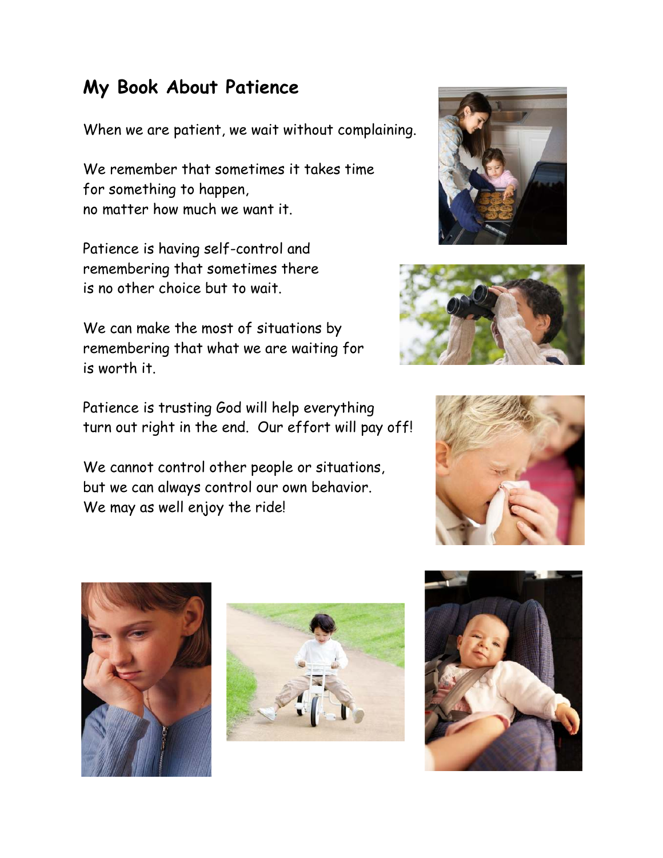## **My Book About Patience**

When we are patient, we wait without complaining.

We remember that sometimes it takes time for something to happen, no matter how much we want it.

Patience is having self-control and remembering that sometimes there is no other choice but to wait.

We can make the most of situations by remembering that what we are waiting for is worth it.

Patience is trusting God will help everything turn out right in the end. Our effort will pay off!

We cannot control other people or situations, but we can always control our own behavior. We may as well enjoy the ride!











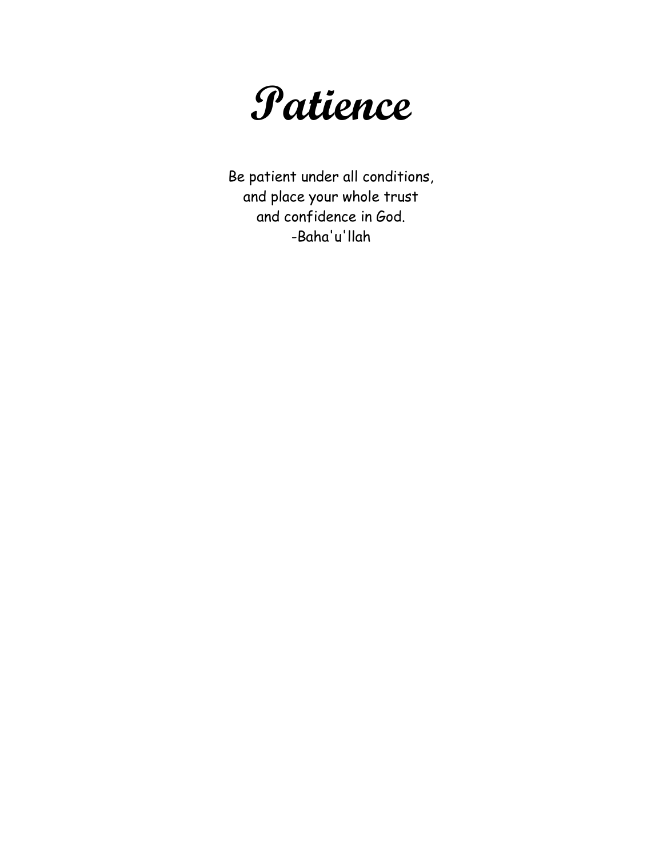

Be patient under all conditions, and place your whole trust and confidence in God. -Baha'u'llah